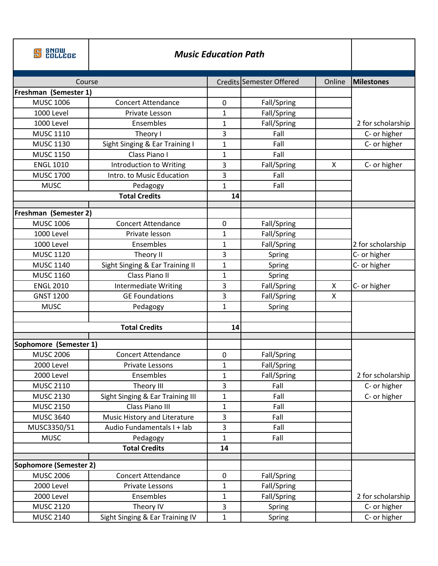| <b>SNOW<br/>COLLEGE</b> | <b>Music Education Path</b>      |              |                          |        |                   |
|-------------------------|----------------------------------|--------------|--------------------------|--------|-------------------|
| Course                  |                                  |              | Credits Semester Offered | Online | <b>Milestones</b> |
| Freshman (Semester 1)   |                                  |              |                          |        |                   |
| <b>MUSC 1006</b>        | <b>Concert Attendance</b>        | $\mathbf 0$  | Fall/Spring              |        |                   |
| <b>1000 Level</b>       | Private Lesson                   | 1            | Fall/Spring              |        |                   |
| 1000 Level              | Ensembles                        | 1            | Fall/Spring              |        | 2 for scholarship |
| <b>MUSC 1110</b>        | Theory I                         | 3            | Fall                     |        | C- or higher      |
| <b>MUSC 1130</b>        | Sight Singing & Ear Training I   | $\mathbf{1}$ | Fall                     |        | C- or higher      |
| <b>MUSC 1150</b>        | Class Piano I                    | $\mathbf{1}$ | Fall                     |        |                   |
| <b>ENGL 1010</b>        | Introduction to Writing          | 3            | Fall/Spring              | X      | C- or higher      |
| <b>MUSC 1700</b>        | Intro. to Music Education        | 3            | Fall                     |        |                   |
| <b>MUSC</b>             | Pedagogy                         | $\mathbf{1}$ | Fall                     |        |                   |
|                         | <b>Total Credits</b>             | 14           |                          |        |                   |
| Freshman (Semester 2)   |                                  |              |                          |        |                   |
| <b>MUSC 1006</b>        | <b>Concert Attendance</b>        | 0            | Fall/Spring              |        |                   |
| <b>1000 Level</b>       | Private lesson                   | 1            | Fall/Spring              |        |                   |
| 1000 Level              | Ensembles                        | 1            | Fall/Spring              |        | 2 for scholarship |
| <b>MUSC 1120</b>        | Theory II                        | 3            | Spring                   |        | C- or higher      |
| <b>MUSC 1140</b>        | Sight Singing & Ear Training II  | 1            | Spring                   |        | C- or higher      |
| <b>MUSC 1160</b>        | Class Piano II                   | 1            | Spring                   |        |                   |
| <b>ENGL 2010</b>        | <b>Intermediate Writing</b>      | 3            | Fall/Spring              | X      | C- or higher      |
| <b>GNST 1200</b>        | <b>GE Foundations</b>            | 3            | Fall/Spring              | X      |                   |
| <b>MUSC</b>             | Pedagogy                         | $\mathbf{1}$ | Spring                   |        |                   |
|                         |                                  |              |                          |        |                   |
|                         | <b>Total Credits</b>             | 14           |                          |        |                   |
| Sophomore (Semester 1)  |                                  |              |                          |        |                   |
| <b>MUSC 2006</b>        | <b>Concert Attendance</b>        | 0            | Fall/Spring              |        |                   |
| 2000 Level              | Private Lessons                  | $\mathbf{1}$ | Fall/Spring              |        |                   |
| 2000 Level              | Ensembles                        | 1            | Fall/Spring              |        | 2 for scholarship |
| <b>MUSC 2110</b>        | Theory III                       | 3            | Fall                     |        | C- or higher      |
| <b>MUSC 2130</b>        | Sight Singing & Ear Training III | $\mathbf{1}$ | Fall                     |        | C- or higher      |
| <b>MUSC 2150</b>        | Class Piano III                  | $\mathbf{1}$ | Fall                     |        |                   |
| <b>MUSC 3640</b>        | Music History and Literature     | 3            | Fall                     |        |                   |
| MUSC3350/51             | Audio Fundamentals I + lab       | 3            | Fall                     |        |                   |
| <b>MUSC</b>             | Pedagogy                         | $\mathbf{1}$ | Fall                     |        |                   |
|                         | <b>Total Credits</b>             | 14           |                          |        |                   |
| Sophomore (Semester 2)  |                                  |              |                          |        |                   |
| <b>MUSC 2006</b>        | <b>Concert Attendance</b>        | $\pmb{0}$    | Fall/Spring              |        |                   |
| 2000 Level              | Private Lessons                  | $\mathbf{1}$ | Fall/Spring              |        |                   |
| 2000 Level              | Ensembles                        | 1            | Fall/Spring              |        | 2 for scholarship |
| <b>MUSC 2120</b>        | Theory IV                        | 3            | Spring                   |        | C- or higher      |
| <b>MUSC 2140</b>        | Sight Singing & Ear Training IV  | $\mathbf{1}$ | Spring                   |        | C- or higher      |
|                         |                                  |              |                          |        |                   |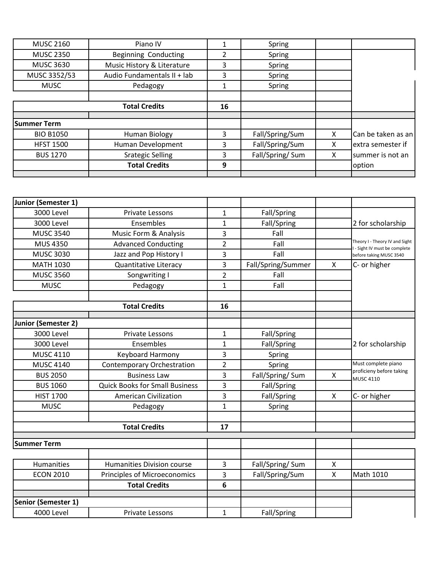| <b>MUSC 2160</b> | Piano IV                    |    | Spring          |   |                    |
|------------------|-----------------------------|----|-----------------|---|--------------------|
| <b>MUSC 2350</b> | <b>Beginning Conducting</b> |    | Spring          |   |                    |
| <b>MUSC 3630</b> | Music History & Literature  | 3  | Spring          |   |                    |
| MUSC 3352/53     | Audio Fundamentals II + lab | 3  | Spring          |   |                    |
| <b>MUSC</b>      | Pedagogy                    |    | Spring          |   |                    |
|                  |                             |    |                 |   |                    |
|                  | <b>Total Credits</b>        | 16 |                 |   |                    |
|                  |                             |    |                 |   |                    |
| Summer Term      |                             |    |                 |   |                    |
| <b>BIO B1050</b> | Human Biology               | 3  | Fall/Spring/Sum | X | Can be taken as an |
| <b>HFST 1500</b> | Human Development           | 3  | Fall/Spring/Sum | X | extra semester if  |
| <b>BUS 1270</b>  | <b>Srategic Selling</b>     | 3  | Fall/Spring/Sum | X | summer is not an   |
|                  |                             |    |                 |   |                    |
|                  | <b>Total Credits</b>        | 9  |                 |   | option             |

| Junior (Semester 1) |                                       |                |                                        |                                                 |                                                                 |  |
|---------------------|---------------------------------------|----------------|----------------------------------------|-------------------------------------------------|-----------------------------------------------------------------|--|
| <b>3000 Level</b>   | Private Lessons                       | 1              | Fall/Spring                            |                                                 |                                                                 |  |
| <b>3000 Level</b>   | Ensembles                             | 1              | Fall/Spring                            |                                                 | 2 for scholarship                                               |  |
| <b>MUSC 3540</b>    | Music Form & Analysis                 | 3              | Fall                                   |                                                 |                                                                 |  |
| <b>MUS 4350</b>     | <b>Advanced Conducting</b>            |                | Fall                                   |                                                 | Theory I - Theory IV and Sight<br>I - Sight IV must be complete |  |
| <b>MUSC 3030</b>    | Jazz and Pop History I                | 3              | Fall                                   |                                                 |                                                                 |  |
| <b>MATH 1030</b>    | <b>Quantitative Literacy</b>          | 3              | Fall/Spring/Summer                     | $\pmb{\times}$<br>C- or higher                  |                                                                 |  |
| <b>MUSC 3560</b>    | Songwriting I                         | $\overline{2}$ | Fall                                   |                                                 |                                                                 |  |
| <b>MUSC</b>         | Pedagogy                              | $\mathbf{1}$   | Fall                                   |                                                 |                                                                 |  |
|                     |                                       |                |                                        |                                                 |                                                                 |  |
|                     | <b>Total Credits</b>                  | 16             |                                        |                                                 |                                                                 |  |
|                     |                                       |                |                                        |                                                 |                                                                 |  |
| Junior (Semester 2) |                                       |                |                                        |                                                 |                                                                 |  |
| 3000 Level          | <b>Private Lessons</b>                | $\mathbf 1$    | Fall/Spring                            |                                                 |                                                                 |  |
| 3000 Level          | Ensembles                             | 1              | Fall/Spring                            |                                                 | 2 for scholarship                                               |  |
| <b>MUSC 4110</b>    | Keyboard Harmony                      | 3              |                                        | Spring                                          |                                                                 |  |
| <b>MUSC 4140</b>    | <b>Contemporary Orchestration</b>     | $\overline{2}$ | Spring                                 | Must complete piano<br>proficieny before taking |                                                                 |  |
| <b>BUS 2050</b>     | <b>Business Law</b>                   | 3              | Fall/Spring/ Sum<br>$\pmb{\mathsf{X}}$ |                                                 | <b>MUSC 4110</b>                                                |  |
| <b>BUS 1060</b>     | <b>Quick Books for Small Business</b> | 3              | Fall/Spring                            |                                                 |                                                                 |  |
| <b>HIST 1700</b>    | <b>American Civilization</b>          | 3              | Fall/Spring                            | $\pmb{\mathsf{X}}$                              | C- or higher                                                    |  |
| <b>MUSC</b>         | Pedagogy                              | 1              | Spring                                 |                                                 |                                                                 |  |
|                     |                                       |                |                                        |                                                 |                                                                 |  |
|                     | <b>Total Credits</b>                  | 17             |                                        |                                                 |                                                                 |  |
| <b>Summer Term</b>  |                                       |                |                                        |                                                 |                                                                 |  |
|                     |                                       |                |                                        |                                                 |                                                                 |  |
| Humanities          | <b>Humanities Division course</b>     | 3              | Fall/Spring/Sum                        | $\pmb{\mathsf{X}}$                              |                                                                 |  |
| <b>ECON 2010</b>    | Principles of Microeconomics          | 3              | Fall/Spring/Sum                        | $\mathsf{X}$                                    | Math 1010                                                       |  |
|                     | <b>Total Credits</b>                  | 6              |                                        |                                                 |                                                                 |  |
| Senior (Semester 1) |                                       |                |                                        |                                                 |                                                                 |  |
| <b>4000 Level</b>   | <b>Private Lessons</b>                | $\mathbf{1}$   | Fall/Spring                            |                                                 |                                                                 |  |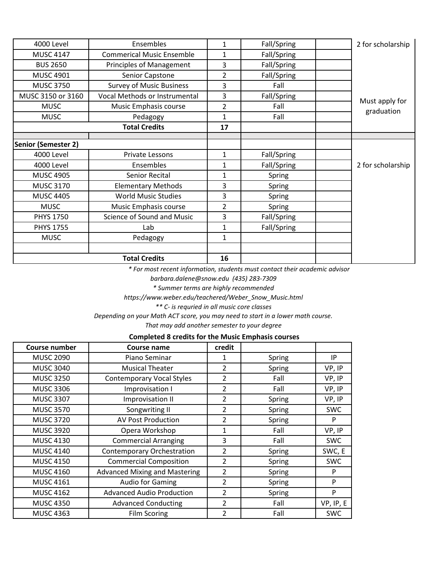| 4000 Level                 | Ensembles                        | 1              | Fall/Spring | 2 for scholarship            |
|----------------------------|----------------------------------|----------------|-------------|------------------------------|
| <b>MUSC 4147</b>           | <b>Commerical Music Ensemble</b> | 1              | Fall/Spring |                              |
| <b>BUS 2650</b>            | Principles of Management         | 3              | Fall/Spring |                              |
| <b>MUSC 4901</b>           | Senior Capstone                  | $\overline{2}$ | Fall/Spring |                              |
| <b>MUSC 3750</b>           | <b>Survey of Music Business</b>  | 3              | Fall        |                              |
| MUSC 3150 or 3160          | Vocal Methods or Instrumental    | 3              | Fall/Spring |                              |
| <b>MUSC</b>                | Music Emphasis course            | $\overline{2}$ | Fall        | Must apply for<br>graduation |
| <b>MUSC</b>                | Pedagogy                         | $\mathbf{1}$   | Fall        |                              |
|                            | <b>Total Credits</b>             | 17             |             |                              |
|                            |                                  |                |             |                              |
| <b>Senior (Semester 2)</b> |                                  |                |             |                              |
| 4000 Level                 | Private Lessons                  | $\mathbf{1}$   | Fall/Spring |                              |
| <b>4000 Level</b>          | Ensembles                        | $\mathbf{1}$   | Fall/Spring | 2 for scholarship            |
| <b>MUSC 4905</b>           | Senior Recital                   | 1              | Spring      |                              |
| <b>MUSC 3170</b>           | <b>Elementary Methods</b>        | 3              | Spring      |                              |
| <b>MUSC 4405</b>           | <b>World Music Studies</b>       | 3              | Spring      |                              |
| <b>MUSC</b>                | Music Emphasis course            | $\overline{2}$ | Spring      |                              |
| <b>PHYS 1750</b>           | Science of Sound and Music       | 3              | Fall/Spring |                              |
| <b>PHYS 1755</b>           | Lab                              | $\mathbf{1}$   | Fall/Spring |                              |
| <b>MUSC</b>                | Pedagogy                         | 1              |             |                              |
|                            | <b>Total Credits</b>             | 16             |             |                              |

 *\* For most recent information, students must contact their academic advisor* 

*barbara.dalene@snow.edu (435) 283-7309* 

*\* Summer terms are highly recommended* 

*https://www.weber.edu/teachered/Weber\_Snow\_Music.html* 

*\*\* C- is requried in all music core classes* 

*Depending on your Math ACT score, you may need to start in a lower math course.* 

*That may add another semester to your degree* 

## **Completed 8 credits for the Music Emphasis courses**

| <b>Course number</b> | Course name                          | credit         |        |            |
|----------------------|--------------------------------------|----------------|--------|------------|
| <b>MUSC 2090</b>     | Piano Seminar                        | 1              | Spring | IP         |
| <b>MUSC 3040</b>     | <b>Musical Theater</b>               | $\overline{2}$ | Spring | VP, IP     |
| <b>MUSC 3250</b>     | <b>Contemporary Vocal Styles</b>     | 2              | Fall   | VP, IP     |
| <b>MUSC 3306</b>     | Improvisation I                      | 2              | Fall   | VP, IP     |
| <b>MUSC 3307</b>     | Improvisation II                     | $\overline{2}$ | Spring | VP, IP     |
| <b>MUSC 3570</b>     | Songwriting II                       | $\overline{2}$ | Spring | <b>SWC</b> |
| <b>MUSC 3720</b>     | <b>AV Post Production</b>            | $\overline{2}$ | Spring | P          |
| <b>MUSC 3920</b>     | Opera Workshop                       | $\mathbf{1}$   | Fall   | VP, IP     |
| <b>MUSC 4130</b>     | <b>Commercial Arranging</b>          | 3              | Fall   | <b>SWC</b> |
| <b>MUSC 4140</b>     | <b>Contemporary Orchestration</b>    | 2              | Spring | SWC, E     |
| <b>MUSC 4150</b>     | <b>Commercial Composition</b>        | $\overline{2}$ | Spring | <b>SWC</b> |
| <b>MUSC 4160</b>     | <b>Advanced Mixing and Mastering</b> | $\overline{2}$ | Spring | P          |
| <b>MUSC 4161</b>     | <b>Audio for Gaming</b>              | $\overline{2}$ | Spring | P          |
| <b>MUSC 4162</b>     | <b>Advanced Audio Production</b>     | $\overline{2}$ | Spring | P          |
| <b>MUSC 4350</b>     | <b>Advanced Conducting</b>           | $\overline{2}$ | Fall   | VP, IP, E  |
| <b>MUSC 4363</b>     | <b>Film Scoring</b>                  | 2              | Fall   | <b>SWC</b> |